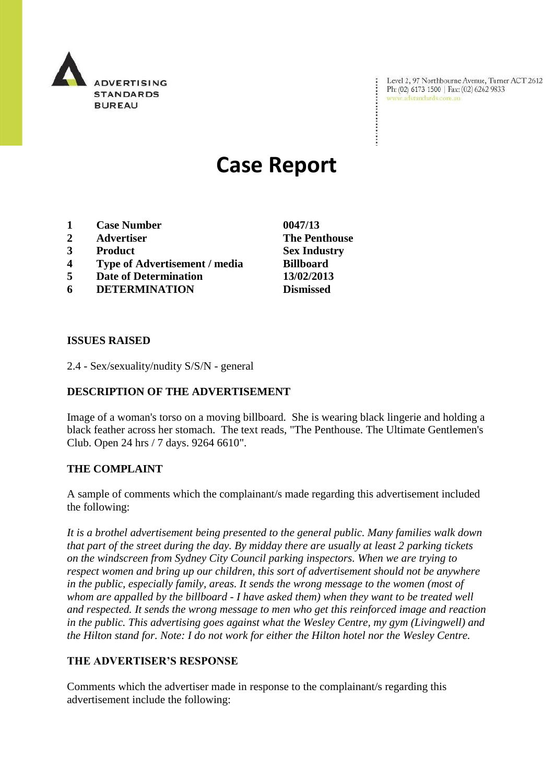

Level 2, 97 Northbourne Avenue, Turner ACT 2612 Ph: (02) 6173 1500 | Fax: (02) 6262 9833 www.adstandards.com.au

# **Case Report**

- **1 Case Number 0047/13**
- **2 Advertiser The Penthouse**
- **3 Product Sex Industry**
- **4 Type of Advertisement / media Billboard**
- **5 Date of Determination 13/02/2013**
- **6 DETERMINATION Dismissed**

**ISSUES RAISED**

2.4 - Sex/sexuality/nudity S/S/N - general

### **DESCRIPTION OF THE ADVERTISEMENT**

Image of a woman's torso on a moving billboard. She is wearing black lingerie and holding a black feather across her stomach. The text reads, "The Penthouse. The Ultimate Gentlemen's Club. Open 24 hrs / 7 days. 9264 6610".

#### **THE COMPLAINT**

A sample of comments which the complainant/s made regarding this advertisement included the following:

*It is a brothel advertisement being presented to the general public. Many families walk down that part of the street during the day. By midday there are usually at least 2 parking tickets on the windscreen from Sydney City Council parking inspectors. When we are trying to respect women and bring up our children, this sort of advertisement should not be anywhere in the public, especially family, areas. It sends the wrong message to the women (most of whom are appalled by the billboard - I have asked them) when they want to be treated well and respected. It sends the wrong message to men who get this reinforced image and reaction in the public. This advertising goes against what the Wesley Centre, my gym (Livingwell) and the Hilton stand for. Note: I do not work for either the Hilton hotel nor the Wesley Centre.*

#### **THE ADVERTISER'S RESPONSE**

Comments which the advertiser made in response to the complainant/s regarding this advertisement include the following: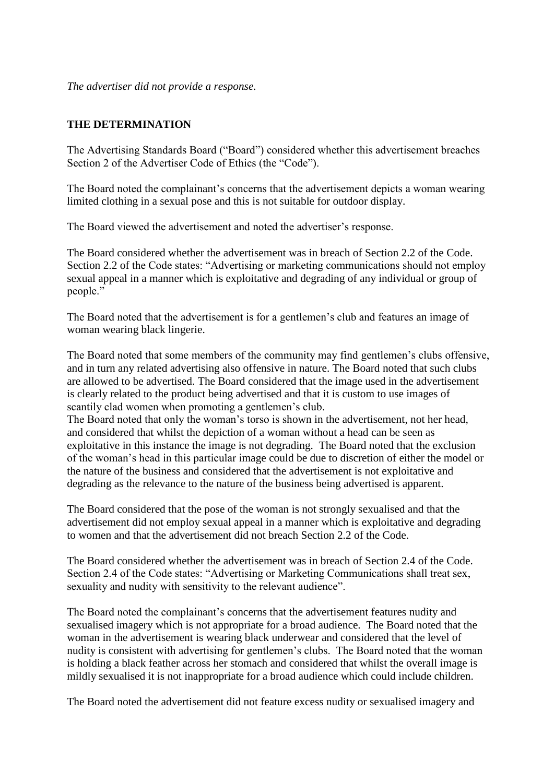*The advertiser did not provide a response.*

## **THE DETERMINATION**

The Advertising Standards Board ("Board") considered whether this advertisement breaches Section 2 of the Advertiser Code of Ethics (the "Code").

The Board noted the complainant's concerns that the advertisement depicts a woman wearing limited clothing in a sexual pose and this is not suitable for outdoor display.

The Board viewed the advertisement and noted the advertiser's response.

The Board considered whether the advertisement was in breach of Section 2.2 of the Code. Section 2.2 of the Code states: "Advertising or marketing communications should not employ sexual appeal in a manner which is exploitative and degrading of any individual or group of people."

The Board noted that the advertisement is for a gentlemen's club and features an image of woman wearing black lingerie.

The Board noted that some members of the community may find gentlemen's clubs offensive, and in turn any related advertising also offensive in nature. The Board noted that such clubs are allowed to be advertised. The Board considered that the image used in the advertisement is clearly related to the product being advertised and that it is custom to use images of scantily clad women when promoting a gentlemen's club.

The Board noted that only the woman's torso is shown in the advertisement, not her head, and considered that whilst the depiction of a woman without a head can be seen as exploitative in this instance the image is not degrading. The Board noted that the exclusion of the woman's head in this particular image could be due to discretion of either the model or the nature of the business and considered that the advertisement is not exploitative and degrading as the relevance to the nature of the business being advertised is apparent.

The Board considered that the pose of the woman is not strongly sexualised and that the advertisement did not employ sexual appeal in a manner which is exploitative and degrading to women and that the advertisement did not breach Section 2.2 of the Code.

The Board considered whether the advertisement was in breach of Section 2.4 of the Code. Section 2.4 of the Code states: "Advertising or Marketing Communications shall treat sex, sexuality and nudity with sensitivity to the relevant audience".

The Board noted the complainant's concerns that the advertisement features nudity and sexualised imagery which is not appropriate for a broad audience. The Board noted that the woman in the advertisement is wearing black underwear and considered that the level of nudity is consistent with advertising for gentlemen's clubs. The Board noted that the woman is holding a black feather across her stomach and considered that whilst the overall image is mildly sexualised it is not inappropriate for a broad audience which could include children.

The Board noted the advertisement did not feature excess nudity or sexualised imagery and